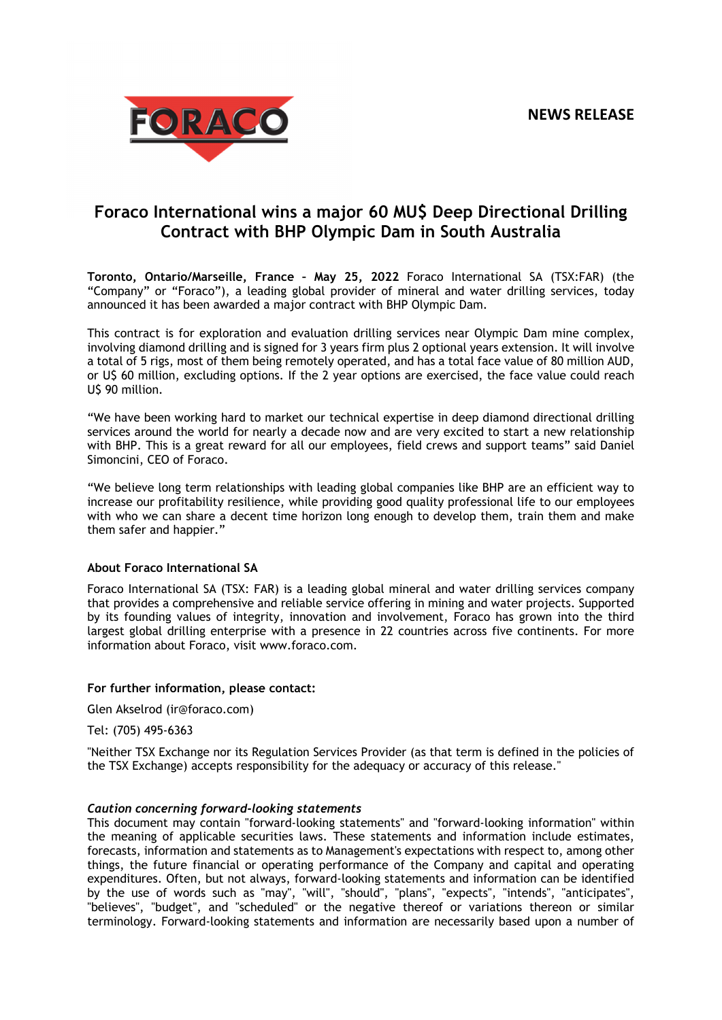

## **Foraco International wins a major 60 MU\$ Deep Directional Drilling Contract with BHP Olympic Dam in South Australia**

**Toronto, Ontario/Marseille, France – May 25, 2022** Foraco International SA (TSX:FAR) (the "Company" or "Foraco"), a leading global provider of mineral and water drilling services, today announced it has been awarded a major contract with BHP Olympic Dam.

This contract is for exploration and evaluation drilling services near Olympic Dam mine complex, involving diamond drilling and is signed for 3 years firm plus 2 optional years extension. It will involve a total of 5 rigs, most of them being remotely operated, and has a total face value of 80 million AUD, or U\$ 60 million, excluding options. If the 2 year options are exercised, the face value could reach U\$ 90 million.

"We have been working hard to market our technical expertise in deep diamond directional drilling services around the world for nearly a decade now and are very excited to start a new relationship with BHP. This is a great reward for all our employees, field crews and support teams" said Daniel Simoncini, CEO of Foraco.

"We believe long term relationships with leading global companies like BHP are an efficient way to increase our profitability resilience, while providing good quality professional life to our employees with who we can share a decent time horizon long enough to develop them, train them and make them safer and happier."

## **About Foraco International SA**

Foraco International SA (TSX: FAR) is a leading global mineral and water drilling services company that provides a comprehensive and reliable service offering in mining and water projects. Supported by its founding values of integrity, innovation and involvement, Foraco has grown into the third largest global drilling enterprise with a presence in 22 countries across five continents. For more information about Foraco, visit www.foraco.com.

## **For further information, please contact:**

Glen Akselrod (ir@foraco.com)

Tel: (705) 495-6363

"Neither TSX Exchange nor its Regulation Services Provider (as that term is defined in the policies of the TSX Exchange) accepts responsibility for the adequacy or accuracy of this release."

## *Caution concerning forward-looking statements*

This document may contain "forward-looking statements" and "forward-looking information" within the meaning of applicable securities laws. These statements and information include estimates, forecasts, information and statements as to Management's expectations with respect to, among other things, the future financial or operating performance of the Company and capital and operating expenditures. Often, but not always, forward-looking statements and information can be identified by the use of words such as "may", "will", "should", "plans", "expects", "intends", "anticipates", "believes", "budget", and "scheduled" or the negative thereof or variations thereon or similar terminology. Forward-looking statements and information are necessarily based upon a number of